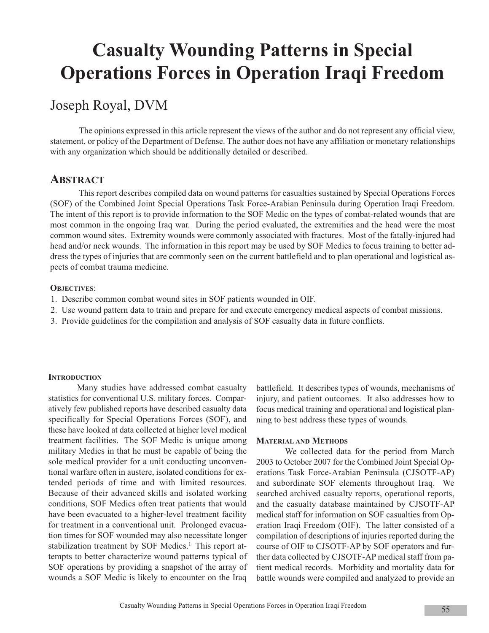# **Casualty Wounding Patterns in Special Operations Forces in Operation Iraqi Freedom**

# Joseph Royal, DVM

The opinions expressed in this article represent the views of the author and do not represent any official view, statement, or policy of the Department of Defense. The author does not have any affiliation or monetary relationships with any organization which should be additionally detailed or described.

# **ABSTRACT**

This report describes compiled data on wound patterns for casualties sustained by Special Operations Forces (SOF) of the Combined Joint Special Operations Task Force-Arabian Peninsula during Operation Iraqi Freedom. The intent of this report is to provide information to the SOF Medic on the types of combat-related wounds that are most common in the ongoing Iraq war. During the period evaluated, the extremities and the head were the most common wound sites. Extremity wounds were commonly associated with fractures. Most of the fatally-injured had head and/or neck wounds. The information in this report may be used by SOF Medics to focus training to better address the types of injuries that are commonly seen on the current battlefield and to plan operational and logistical aspects of combat trauma medicine.

# **OBJECTIVES**:

- 1. Describe common combat wound sites in SOF patients wounded in OIF.
- 2. Use wound pattern data to train and prepare for and execute emergency medical aspects of combat missions.
- 3. Provide guidelines for the compilation and analysis of SOF casualty data in future conflicts.

# **INTRODUCTION**

Many studies have addressed combat casualty statistics for conventional U.S. military forces. Comparatively few published reports have described casualty data specifically for Special Operations Forces (SOF), and these have looked at data collected at higher level medical treatment facilities. The SOF Medic is unique among military Medics in that he must be capable of being the sole medical provider for a unit conducting unconventional warfare often in austere, isolated conditions for extended periods of time and with limited resources. Because of their advanced skills and isolated working conditions, SOF Medics often treat patients that would have been evacuated to a higher-level treatment facility for treatment in a conventional unit. Prolonged evacuation times for SOF wounded may also necessitate longer stabilization treatment by SOF Medics.<sup>1</sup> This report attempts to better characterize wound patterns typical of SOF operations by providing a snapshot of the array of wounds a SOF Medic is likely to encounter on the Iraq

battlefield. It describes types of wounds, mechanisms of injury, and patient outcomes. It also addresses how to focus medical training and operational and logistical planning to best address these types of wounds.

## **MATERIAL AND METHODS**

We collected data for the period from March 2003 to October 2007 for the Combined Joint Special Operations Task Force-Arabian Peninsula (CJSOTF-AP) and subordinate SOF elements throughout Iraq. We searched archived casualty reports, operational reports, and the casualty database maintained by CJSOTF-AP medical staff for information on SOF casualties from Operation Iraqi Freedom (OIF). The latter consisted of a compilation of descriptions of injuries reported during the course of OIF to CJSOTF-AP by SOF operators and further data collected by CJSOTF-AP medical staff from patient medical records. Morbidity and mortality data for battle wounds were compiled and analyzed to provide an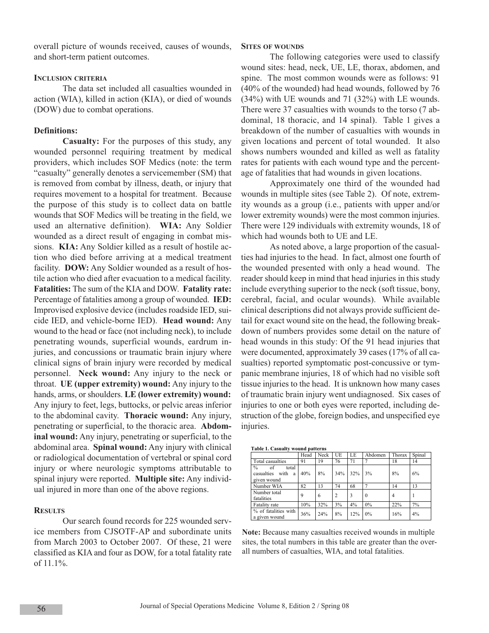overall picture of wounds received, causes of wounds, and short-term patient outcomes.

# **INCLUSION CRITERIA**

The data set included all casualties wounded in action (WIA), killed in action (KIA), or died of wounds (DOW) due to combat operations.

# **Definitions:**

**Casualty:** For the purposes of this study, any wounded personnel requiring treatment by medical providers, which includes SOF Medics (note: the term "casualty" generally denotes a servicemember (SM) that is removed from combat by illness, death, or injury that requires movement to a hospital for treatment. Because the purpose of this study is to collect data on battle wounds that SOF Medics will be treating in the field, we used an alternative definition). **WIA:** Any Soldier wounded as a direct result of engaging in combat missions. **KIA:** Any Soldier killed as a result of hostile action who died before arriving at a medical treatment facility. **DOW:** Any Soldier wounded as a result of hostile action who died after evacuation to a medical facility. **Fatalities:** The sum of the KIA and DOW. **Fatality rate:** Percentage of fatalities among a group of wounded. **IED:** Improvised explosive device (includes roadside IED, suicide IED, and vehicle-borne IED). **Head wound:** Any wound to the head or face (not including neck), to include penetrating wounds, superficial wounds, eardrum injuries, and concussions or traumatic brain injury where clinical signs of brain injury were recorded by medical personnel. **Neck wound:** Any injury to the neck or throat. **UE (upper extremity) wound:** Any injury to the hands, arms, or shoulders. **LE (lower extremity) wound:** Any injury to feet, legs, buttocks, or pelvic areas inferior to the abdominal cavity. **Thoracic wound:** Any injury, penetrating or superficial, to the thoracic area. **Abdominal wound:** Any injury, penetrating or superficial, to the abdominal area. **Spinal wound:** Any injury with clinical or radiological documentation of vertebral or spinal cord injury or where neurologic symptoms attributable to spinal injury were reported. **Multiple site:** Any individual injured in more than one of the above regions.

## **RESULTS**

Our search found records for 225 wounded service members from CJSOTF-AP and subordinate units from March 2003 to October 2007. Of these, 21 were classified as KIA and four as DOW, for a total fatality rate of 11.1%.

#### **SITES OF WOUNDS**

The following categories were used to classify wound sites: head, neck, UE, LE, thorax, abdomen, and spine. The most common wounds were as follows: 91 (40% of the wounded) had head wounds, followed by 76 (34%) with UE wounds and 71 (32%) with LE wounds. There were 37 casualties with wounds to the torso (7 abdominal, 18 thoracic, and 14 spinal). Table 1 gives a breakdown of the number of casualties with wounds in given locations and percent of total wounded. It also shows numbers wounded and killed as well as fatality rates for patients with each wound type and the percentage of fatalities that had wounds in given locations.

Approximately one third of the wounded had wounds in multiple sites (see Table 2). Of note, extremity wounds as a group (i.e., patients with upper and/or lower extremity wounds) were the most common injuries. There were 129 individuals with extremity wounds, 18 of which had wounds both to UE and LE.

As noted above, a large proportion of the casualties had injuries to the head. In fact, almost one fourth of the wounded presented with only a head wound. The reader should keep in mind that head injuries in this study include everything superior to the neck (soft tissue, bony, cerebral, facial, and ocular wounds). While available clinical descriptions did not always provide sufficient detail for exact wound site on the head, the following breakdown of numbers provides some detail on the nature of head wounds in this study: Of the 91 head injuries that were documented, approximately 39 cases (17% of all casualties) reported symptomatic post-concussive or tympanic membrane injuries, 18 of which had no visible soft tissue injuries to the head. It is unknown how many cases of traumatic brain injury went undiagnosed. Six cases of injuries to one or both eyes were reported, including destruction of the globe, foreign bodies, and unspecified eye injuries.

| Table 1. Casualty wound patterns                                       |      |      |                |     |          |        |        |  |  |
|------------------------------------------------------------------------|------|------|----------------|-----|----------|--------|--------|--|--|
|                                                                        | Head | Neck | UE             | LE  | Abdomen  | Thorax | Spinal |  |  |
| Total casualties                                                       | 91   | 19   | 76             | 71  |          | 18     | 14     |  |  |
| $\frac{0}{0}$<br>of<br>total<br>casualties<br>with<br>a<br>given wound | 40%  | 8%   | 34%            | 32% | 3%       | 8%     | 6%     |  |  |
| Number WIA                                                             | 82   | 13   | 74             | 68  |          | 14     | 13     |  |  |
| Number total<br>fatalities                                             | 9    | 6    | $\overline{c}$ | 3   | $\Omega$ | 4      |        |  |  |
| Fatality rate                                                          | 10%  | 32%  | 3%             | 4%  | $0\%$    | 22%    | 7%     |  |  |
| % of fatalities with<br>a given wound                                  | 36%  | 24%  | 8%             | 12% | 0%       | 16%    | 4%     |  |  |

**Note:** Because many casualties received wounds in multiple sites, the total numbers in this table are greater than the overall numbers of casualties, WIA, and total fatalities.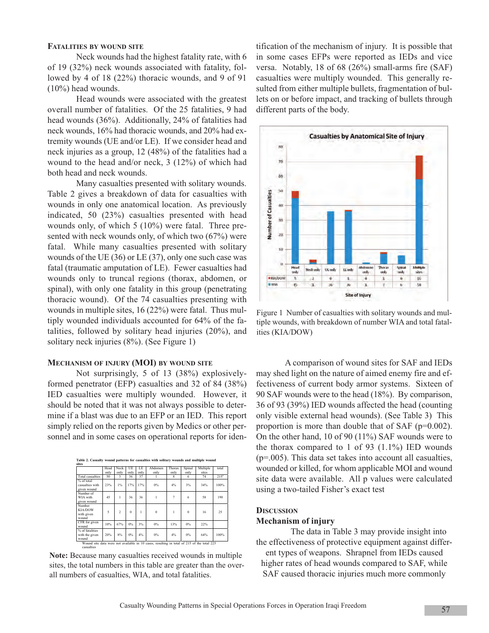#### **FATALITIES BY WOUND SITE**

Neck wounds had the highest fatality rate, with 6 of 19 (32%) neck wounds associated with fatality, followed by 4 of 18 (22%) thoracic wounds, and 9 of 91 (10%) head wounds.

Head wounds were associated with the greatest overall number of fatalities. Of the 25 fatalities, 9 had head wounds (36%). Additionally, 24% of fatalities had neck wounds, 16% had thoracic wounds, and 20% had extremity wounds (UE and/or LE). If we consider head and neck injuries as a group, 12 (48%) of the fatalities had a wound to the head and/or neck, 3 (12%) of which had both head and neck wounds.

Many casualties presented with solitary wounds. Table 2 gives a breakdown of data for casualties with wounds in only one anatomical location. As previously indicated, 50 (23%) casualties presented with head wounds only, of which 5 (10%) were fatal. Three presented with neck wounds only, of which two (67%) were fatal. While many casualties presented with solitary wounds of the UE (36) or LE (37), only one such case was fatal (traumatic amputation of LE). Fewer casualties had wounds only to truncal regions (thorax, abdomen, or spinal), with only one fatality in this group (penetrating thoracic wound). Of the 74 casualties presenting with wounds in multiple sites, 16 (22%) were fatal. Thus multiply wounded individuals accounted for 64% of the fatalities, followed by solitary head injuries (20%), and solitary neck injuries (8%). (See Figure 1)

#### **MECHANISM OF INJURY (MOI) BY WOUND SITE**

Not surprisingly, 5 of 13 (38%) explosivelyformed penetrator (EFP) casualties and 32 of 84 (38%) IED casualties were multiply wounded. However, it should be noted that it was not always possible to determine if a blast was due to an EFP or an IED. This report simply relied on the reports given by Medics or other personnel and in some cases on operational reports for iden-

| Table 2. Casualty wound patterns for casualties with solitary wounds and multiple wound                  |              |                |            |            |                 |                |                |                   |                  |  |
|----------------------------------------------------------------------------------------------------------|--------------|----------------|------------|------------|-----------------|----------------|----------------|-------------------|------------------|--|
| sites                                                                                                    |              |                |            |            |                 |                |                |                   |                  |  |
|                                                                                                          | Head<br>only | Neck<br>only   | UE<br>only | LE<br>only | Ahdomen<br>only | Thorax<br>only | Spinal<br>only | Multiple<br>sites | total            |  |
| <b>Total casualties</b>                                                                                  | 50           | 3              | 36         | 37         |                 | 8              | 6              | 74                | 215 <sup>a</sup> |  |
| % of total<br>casualties with<br>given wound                                                             | 23%          | $1\%$          | 17%        | 17%        | $0\%$           | 4%             | 3%             | 34%               | 100%             |  |
| Number of<br>WIA with<br>given wound                                                                     | 45           | 1              | 36         | 36         | ī               | 7              | 6              | 58                | 190              |  |
| Number<br>KIA/DOW<br>with given<br>wound                                                                 | 5            | $\overline{2}$ | $\theta$   | ī          | $\theta$        | Ī              | $\Omega$       | 16                | 25               |  |
| CFR for given<br>wound                                                                                   | 10%          | 67%            | 0%         | 3%         | $0\%$           | 13%            | 0%             | 22%               |                  |  |
| % of fatalities<br>with the given<br>wound                                                               | 20%          | $8\%$          | $0\%$      | 4%         | $0\%$           | 4%             | $0\%$          | 64%               | 100%             |  |
| Wound site data were not available in 10 cases, resulting in total of 215 of the total 225<br>casualties |              |                |            |            |                 |                |                |                   |                  |  |

**Note:** Because many casualties received wounds in multiple sites, the total numbers in this table are greater than the overall numbers of casualties, WIA, and total fatalities.

tification of the mechanism of injury. It is possible that in some cases EFPs were reported as IEDs and vice versa. Notably, 18 of 68 (26%) small-arms fire (SAF) casualties were multiply wounded. This generally resulted from either multiple bullets, fragmentation of bullets on or before impact, and tracking of bullets through different parts of the body.



Figure 1 Number of casualties with solitary wounds and multiple wounds, with breakdown of number WIA and total fatalities (KIA/DOW)

A comparison of wound sites for SAF and IEDs may shed light on the nature of aimed enemy fire and effectiveness of current body armor systems. Sixteen of 90 SAF wounds were to the head (18%). By comparison, 36 of 93 (39%) IED wounds affected the head (counting only visible external head wounds). (See Table 3) This proportion is more than double that of SAF (p=0.002). On the other hand, 10 of 90 (11%) SAF wounds were to the thorax compared to 1 of 93  $(1.1\%)$  IED wounds (p=.005). This data set takes into account all casualties, wounded or killed, for whom applicable MOI and wound site data were available. All p values were calculated using a two-tailed Fisher's exact test

#### **DISCUSSION**

#### **Mechanism of injury**

The data in Table 3 may provide insight into the effectiveness of protective equipment against differ-

ent types of weapons. Shrapnel from IEDs caused higher rates of head wounds compared to SAF, while SAF caused thoracic injuries much more commonly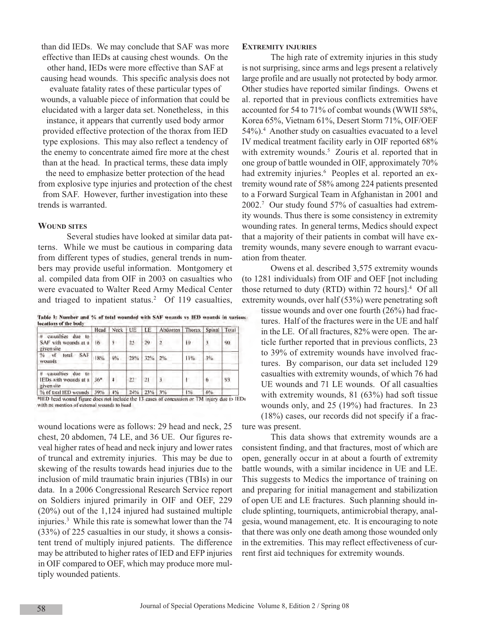than did IEDs. We may conclude that SAF was more effective than IEDs at causing chest wounds. On the other hand, IEDs were more effective than SAF at

causing head wounds. This specific analysis does not evaluate fatality rates of these particular types of

wounds, a valuable piece of information that could be elucidated with a larger data set. Nonetheless, in this instance, it appears that currently used body armor provided effective protection of the thorax from IED type explosions. This may also reflect a tendency of the enemy to concentrate aimed fire more at the chest than at the head. In practical terms, these data imply

the need to emphasize better protection of the head from explosive type injuries and protection of the chest from SAF. However, further investigation into these trends is warranted.

#### **WOUND SITES**

Several studies have looked at similar data patterns. While we must be cautious in comparing data from different types of studies, general trends in numbers may provide useful information. Montgomery et al. compiled data from OIF in 2003 on casualties who were evacuated to Walter Reed Army Medical Center and triaged to inpatient status.<sup>2</sup> Of 119 casualties,

Table 3: Number and % of total wounded with SAF wounds vs IED wounds in various locations of the body

|                                                               |       | Head Neck   UE |    | LE         | Abdomen Thorax Spinal Total |     |    |    |
|---------------------------------------------------------------|-------|----------------|----|------------|-----------------------------|-----|----|----|
| casualties due to<br>#<br>SAF with wounds at a<br>given site  | 16    | 5              | 25 | 29         | $\mathfrak{I}$              | Īθ  |    | 90 |
| total SAF<br>% of<br>wounds                                   | 18%   | 6%             |    | 28% 32% 2% |                             | 11% | 3% |    |
| #<br>casualties due to<br>IEDs with wounds at a<br>given site | $36*$ |                | 22 | 21         | 3                           |     | 6  | 93 |
| % of total IED wounds 39%                                     |       | $4\%$          |    | 24% 23%    | 13%                         | 1%  | 6% |    |

<sup>#1</sup>ED head wound figure does not include the 13 cases of concussion or TM injury due to IEDs with no mention of external wounds to head

wound locations were as follows: 29 head and neck, 25 chest, 20 abdomen, 74 LE, and 36 UE. Our figures reveal higher rates of head and neck injury and lower rates of truncal and extremity injuries. This may be due to skewing of the results towards head injuries due to the inclusion of mild traumatic brain injuries (TBIs) in our data. In a 2006 Congressional Research Service report on Soldiers injured primarily in OIF and OEF, 229 (20%) out of the 1,124 injured had sustained multiple injuries.3 While this rate is somewhat lower than the 74 (33%) of 225 casualties in our study, it shows a consistent trend of multiply injured patients. The difference may be attributed to higher rates of IED and EFP injuries in OIF compared to OEF, which may produce more multiply wounded patients.

#### **EXTREMITY INJURIES**

The high rate of extremity injuries in this study is not surprising, since arms and legs present a relatively large profile and are usually not protected by body armor. Other studies have reported similar findings. Owens et al. reported that in previous conflicts extremities have accounted for 54 to 71% of combat wounds (WWII 58%, Korea 65%, Vietnam 61%, Desert Storm 71%, OIF/OEF 54%).4 Another study on casualties evacuated to a level IV medical treatment facility early in OIF reported 68% with extremity wounds.<sup>5</sup> Zouris et al. reported that in one group of battle wounded in OIF, approximately 70% had extremity injuries.<sup>6</sup> Peoples et al. reported an extremity wound rate of 58% among 224 patients presented to a Forward Surgical Team in Afghanistan in 2001 and 2002.7 Our study found 57% of casualties had extremity wounds. Thus there is some consistency in extremity wounding rates. In general terms, Medics should expect that a majority of their patients in combat will have extremity wounds, many severe enough to warrant evacuation from theater.

Owens et al. described 3,575 extremity wounds (to 1281 individuals) from OIF and OEF [not including those returned to duty (RTD) within 72 hours].4 Of all extremity wounds, over half (53%) were penetrating soft

tissue wounds and over one fourth (26%) had fractures. Half of the fractures were in the UE and half in the LE. Of all fractures, 82% were open. The article further reported that in previous conflicts, 23 to 39% of extremity wounds have involved fractures. By comparison, our data set included 129 casualties with extremity wounds, of which 76 had UE wounds and 71 LE wounds. Of all casualties with extremity wounds, 81 (63%) had soft tissue wounds only, and 25 (19%) had fractures. In 23 (18%) cases, our records did not specify if a fracture was present.

This data shows that extremity wounds are a consistent finding, and that fractures, most of which are open, generally occur in at about a fourth of extremity battle wounds, with a similar incidence in UE and LE. This suggests to Medics the importance of training on and preparing for initial management and stabilization of open UE and LE fractures. Such planning should include splinting, tourniquets, antimicrobial therapy, analgesia, wound management, etc. It is encouraging to note that there was only one death among those wounded only in the extremities. This may reflect effectiveness of current first aid techniques for extremity wounds.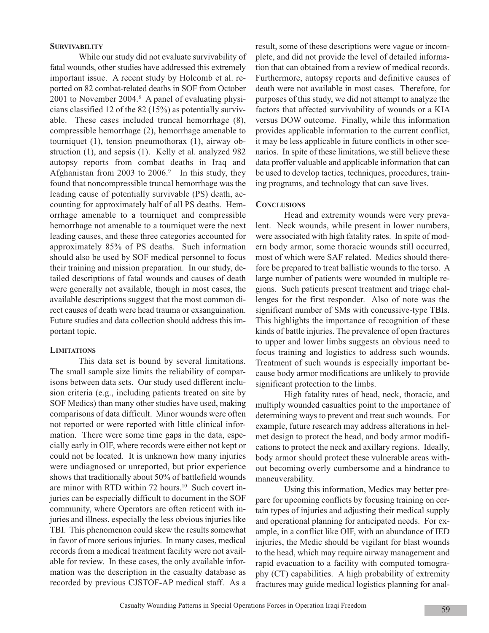#### **SURVIVABILITY**

While our study did not evaluate survivability of fatal wounds, other studies have addressed this extremely important issue. A recent study by Holcomb et al. reported on 82 combat-related deaths in SOF from October 2001 to November 2004.<sup>8</sup> A panel of evaluating physicians classified 12 of the 82 (15%) as potentially survivable. These cases included truncal hemorrhage (8), compressible hemorrhage (2), hemorrhage amenable to tourniquet (1), tension pneumothorax (1), airway obstruction (1), and sepsis (1). Kelly et al. analyzed 982 autopsy reports from combat deaths in Iraq and Afghanistan from 2003 to  $2006$ .<sup>9</sup> In this study, they found that noncompressible truncal hemorrhage was the leading cause of potentially survivable (PS) death, accounting for approximately half of all PS deaths. Hemorrhage amenable to a tourniquet and compressible hemorrhage not amenable to a tourniquet were the next leading causes, and these three categories accounted for approximately 85% of PS deaths. Such information should also be used by SOF medical personnel to focus their training and mission preparation. In our study, detailed descriptions of fatal wounds and causes of death were generally not available, though in most cases, the available descriptions suggest that the most common direct causes of death were head trauma or exsanguination. Future studies and data collection should address this important topic.

# **LIMITATIONS**

This data set is bound by several limitations. The small sample size limits the reliability of comparisons between data sets. Our study used different inclusion criteria (e.g., including patients treated on site by SOF Medics) than many other studies have used, making comparisons of data difficult. Minor wounds were often not reported or were reported with little clinical information. There were some time gaps in the data, especially early in OIF, where records were either not kept or could not be located. It is unknown how many injuries were undiagnosed or unreported, but prior experience shows that traditionally about 50% of battlefield wounds are minor with RTD within 72 hours.<sup>10</sup> Such covert injuries can be especially difficult to document in the SOF community, where Operators are often reticent with injuries and illness, especially the less obvious injuries like TBI. This phenomenon could skew the results somewhat in favor of more serious injuries. In many cases, medical records from a medical treatment facility were not available for review. In these cases, the only available information was the description in the casualty database as recorded by previous CJSTOF-AP medical staff. As a

result, some of these descriptions were vague or incomplete, and did not provide the level of detailed information that can obtained from a review of medical records. Furthermore, autopsy reports and definitive causes of death were not available in most cases. Therefore, for purposes of this study, we did not attempt to analyze the factors that affected survivability of wounds or a KIA versus DOW outcome. Finally, while this information provides applicable information to the current conflict, it may be less applicable in future conflicts in other scenarios. In spite of these limitations, we still believe these data proffer valuable and applicable information that can be used to develop tactics, techniques, procedures, training programs, and technology that can save lives.

# **CONCLUSIONS**

Head and extremity wounds were very prevalent. Neck wounds, while present in lower numbers, were associated with high fatality rates. In spite of modern body armor, some thoracic wounds still occurred, most of which were SAF related. Medics should therefore be prepared to treat ballistic wounds to the torso. A large number of patients were wounded in multiple regions. Such patients present treatment and triage challenges for the first responder. Also of note was the significant number of SMs with concussive-type TBIs. This highlights the importance of recognition of these kinds of battle injuries. The prevalence of open fractures to upper and lower limbs suggests an obvious need to focus training and logistics to address such wounds. Treatment of such wounds is especially important because body armor modifications are unlikely to provide significant protection to the limbs.

High fatality rates of head, neck, thoracic, and multiply wounded casualties point to the importance of determining ways to prevent and treat such wounds. For example, future research may address alterations in helmet design to protect the head, and body armor modifications to protect the neck and axillary regions. Ideally, body armor should protect these vulnerable areas without becoming overly cumbersome and a hindrance to maneuverability.

Using this information, Medics may better prepare for upcoming conflicts by focusing training on certain types of injuries and adjusting their medical supply and operational planning for anticipated needs. For example, in a conflict like OIF, with an abundance of IED injuries, the Medic should be vigilant for blast wounds to the head, which may require airway management and rapid evacuation to a facility with computed tomography (CT) capabilities. A high probability of extremity fractures may guide medical logistics planning for anal